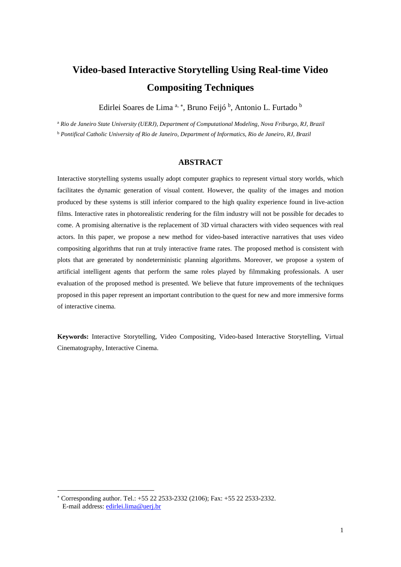# **Video-based Interactive Storytelling Using Real-time Video Compositing Techniques**

Edirlei Soares de Lima <sup>a,</sup> \*, Bruno Feijó <sup>b</sup>, Antonio L. Furtado <sup>b</sup>

<sup>a</sup> *Rio de Janeiro State University (UERJ), Department of Computational Modeling, Nova Friburgo, RJ, Brazil* <sup>b</sup> *Pontifical Catholic University of Rio de Janeiro, Department of Informatics, Rio de Janeiro, RJ, Brazil*

## **ABSTRACT**

Interactive storytelling systems usually adopt computer graphics to represent virtual story worlds, which facilitates the dynamic generation of visual content. However, the quality of the images and motion produced by these systems is still inferior compared to the high quality experience found in live-action films. Interactive rates in photorealistic rendering for the film industry will not be possible for decades to come. A promising alternative is the replacement of 3D virtual characters with video sequences with real actors. In this paper, we propose a new method for video-based interactive narratives that uses video compositing algorithms that run at truly interactive frame rates. The proposed method is consistent with plots that are generated by nondeterministic planning algorithms. Moreover, we propose a system of artificial intelligent agents that perform the same roles played by filmmaking professionals. A user evaluation of the proposed method is presented. We believe that future improvements of the techniques proposed in this paper represent an important contribution to the quest for new and more immersive forms of interactive cinema.

**Keywords:** Interactive Storytelling, Video Compositing, Video-based Interactive Storytelling, Virtual Cinematography, Interactive Cinema.

-

<span id="page-0-0"></span><sup>∗</sup> Corresponding author. Tel.: +55 22 2533-2332 (2106); Fax: +55 22 2533-2332. E-mail address: [edirlei.lima@uerj.br](mailto:edirlei.lima@uerj.br)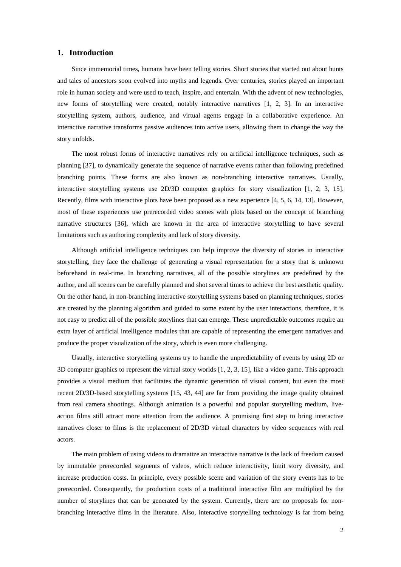#### **1. Introduction**

Since immemorial times, humans have been telling stories. Short stories that started out about hunts and tales of ancestors soon evolved into myths and legends. Over centuries, stories played an important role in human society and were used to teach, inspire, and entertain. With the advent of new technologies, new forms of storytelling were created, notably interactive narratives [1, 2, 3]. In an interactive storytelling system, authors, audience, and virtual agents engage in a collaborative experience. An interactive narrative transforms passive audiences into active users, allowing them to change the way the story unfolds.

The most robust forms of interactive narratives rely on artificial intelligence techniques, such as planning [37], to dynamically generate the sequence of narrative events rather than following predefined branching points. These forms are also known as non-branching interactive narratives. Usually, interactive storytelling systems use 2D/3D computer graphics for story visualization [1, 2, 3, 15]. Recently, films with interactive plots have been proposed as a new experience [4, 5, 6, 14, 13]. However, most of these experiences use prerecorded video scenes with plots based on the concept of branching narrative structures [36], which are known in the area of interactive storytelling to have several limitations such as authoring complexity and lack of story diversity.

Although artificial intelligence techniques can help improve the diversity of stories in interactive storytelling, they face the challenge of generating a visual representation for a story that is unknown beforehand in real-time. In branching narratives, all of the possible storylines are predefined by the author, and all scenes can be carefully planned and shot several times to achieve the best aesthetic quality. On the other hand, in non-branching interactive storytelling systems based on planning techniques, stories are created by the planning algorithm and guided to some extent by the user interactions, therefore, it is not easy to predict all of the possible storylines that can emerge. These unpredictable outcomes require an extra layer of artificial intelligence modules that are capable of representing the emergent narratives and produce the proper visualization of the story, which is even more challenging.

Usually, interactive storytelling systems try to handle the unpredictability of events by using 2D or 3D computer graphics to represent the virtual story worlds [1, 2, 3, 15], like a video game. This approach provides a visual medium that facilitates the dynamic generation of visual content, but even the most recent 2D/3D-based storytelling systems [15, 43, 44] are far from providing the image quality obtained from real camera shootings. Although animation is a powerful and popular storytelling medium, liveaction films still attract more attention from the audience. A promising first step to bring interactive narratives closer to films is the replacement of 2D/3D virtual characters by video sequences with real actors.

The main problem of using videos to dramatize an interactive narrative is the lack of freedom caused by immutable prerecorded segments of videos, which reduce interactivity, limit story diversity, and increase production costs. In principle, every possible scene and variation of the story events has to be prerecorded. Consequently, the production costs of a traditional interactive film are multiplied by the number of storylines that can be generated by the system. Currently, there are no proposals for nonbranching interactive films in the literature. Also, interactive storytelling technology is far from being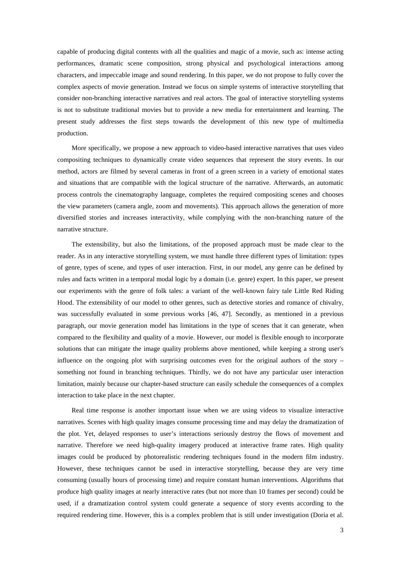capable of producing digital contents with all the qualities and magic of a movie, such as: intense acting performances, dramatic scene composition, strong physical and psychological interactions among characters, and impeccable image and sound rendering. In this paper, we do not propose to fully cover the complex aspects of movie generation. Instead we focus on simple systems of interactive storytelling that consider non-branching interactive narratives and real actors. The goal of interactive storytelling systems is not to substitute traditional movies but to provide a new media for entertainment and learning. The present study addresses the first steps towards the development of this new type of multimedia production.

More specifically, we propose a new approach to video-based interactive narratives that uses video compositing techniques to dynamically create video sequences that represent the story events. In our method, actors are filmed by several cameras in front of a green screen in a variety of emotional states and situations that are compatible with the logical structure of the narrative. Afterwards, an automatic process controls the cinematography language, completes the required compositing scenes and chooses the view parameters (camera angle, zoom and movements). This approach allows the generation of more diversified stories and increases interactivity, while complying with the non-branching nature of the narrative structure.

The extensibility, but also the limitations, of the proposed approach must be made clear to the reader. As in any interactive storytelling system, we must handle three different types of limitation: types of genre, types of scene, and types of user interaction. First, in our model, any genre can be defined by rules and facts written in a temporal modal logic by a domain (i.e. genre) expert. In this paper, we present our experiments with the genre of folk tales: a variant of the well-known fairy tale Little Red Riding Hood. The extensibility of our model to other genres, such as detective stories and romance of chivalry, was successfully evaluated in some previous works [46, 47]. Secondly, as mentioned in a previous paragraph, our movie generation model has limitations in the type of scenes that it can generate, when compared to the flexibility and quality of a movie. However, our model is flexible enough to incorporate solutions that can mitigate the image quality problems above mentioned, while keeping a strong user's influence on the ongoing plot with surprising outcomes even for the original authors of the story  $$ something not found in branching techniques. Thirdly, we do not have any particular user interaction limitation, mainly because our chapter-based structure can easily schedule the consequences of a complex interaction to take place in the next chapter.

Real time response is another important issue when we are using videos to visualize interactive narratives. Scenes with high quality images consume processing time and may delay the dramatization of the plot. Yet, delayed responses to user's interactions seriously destroy the flows of movement and narrative. Therefore we need high-quality imagery produced at interactive frame rates. High quality images could be produced by photorealistic rendering techniques found in the modern film industry. However, these techniques cannot be used in interactive storytelling, because they are very time consuming (usually hours of processing time) and require constant human interventions. Algorithms that produce high quality images at nearly interactive rates (but not more than 10 frames per second) could be used, if a dramatization control system could generate a sequence of story events according to the required rendering time. However, this is a complex problem that is still under investigation (Doria et al.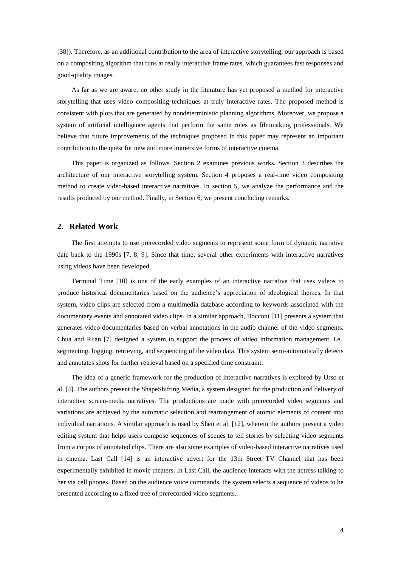[38]). Therefore, as an additional contribution to the area of interactive storytelling, our approach is based on a compositing algorithm that runs at really interactive frame rates, which guarantees fast responses and good-quality images.

As far as we are aware, no other study in the literature has yet proposed a method for interactive storytelling that uses video compositing techniques at truly interactive rates. The proposed method is consistent with plots that are generated by nondeterministic planning algorithms. Moreover, we propose a system of artificial intelligence agents that perform the same roles as filmmaking professionals. We believe that future improvements of the techniques proposed in this paper may represent an important contribution to the quest for new and more immersive forms of interactive cinema.

This paper is organized as follows. Section 2 examines previous works. Section 3 describes the architecture of our interactive storytelling system. Section 4 proposes a real-time video compositing method to create video-based interactive narratives. In section 5, we analyze the performance and the results produced by our method. Finally, in Section 6, we present concluding remarks.

## **2. Related Work**

The first attempts to use prerecorded video segments to represent some form of dynamic narrative date back to the 1990s [7, 8, 9]. Since that time, several other experiments with interactive narratives using videos have been developed.

Terminal Time [10] is one of the early examples of an interactive narrative that uses videos to produce historical documentaries based on the audience's appreciation of ideological themes. In that system, video clips are selected from a multimedia database according to keywords associated with the documentary events and annotated video clips. In a similar approach, Bocconi [11] presents a system that generates video documentaries based on verbal annotations in the audio channel of the video segments. Chua and Ruan [7] designed a system to support the process of video information management, i.e., segmenting, logging, retrieving, and sequencing of the video data. This system semi-automatically detects and annotates shots for further retrieval based on a specified time constraint.

The idea of a generic framework for the production of interactive narratives is explored by Urso et al. [4]. The authors present the ShapeShifting Media, a system designed for the production and delivery of interactive screen-media narratives. The productions are made with prerecorded video segments and variations are achieved by the automatic selection and rearrangement of atomic elements of content into individual narrations. A similar approach is used by Shen et al. [12], wherein the authors present a video editing system that helps users compose sequences of scenes to tell stories by selecting video segments from a corpus of annotated clips. There are also some examples of video-based interactive narratives used in cinema. Last Call [14] is an interactive advert for the 13th Street TV Channel that has been experimentally exhibited in movie theaters. In Last Call, the audience interacts with the actress talking to her via cell phones. Based on the audience voice commands, the system selects a sequence of videos to be presented according to a fixed tree of prerecorded video segments.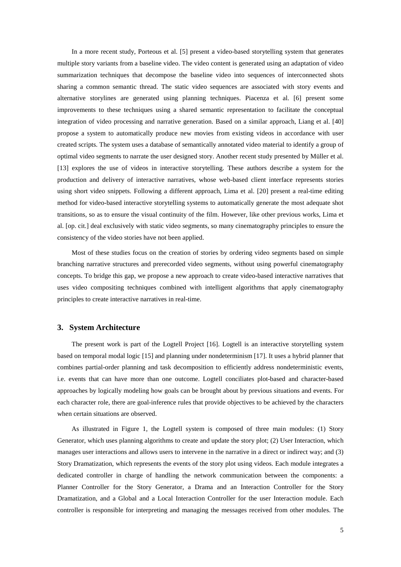In a more recent study, Porteous et al. [5] present a video-based storytelling system that generates multiple story variants from a baseline video. The video content is generated using an adaptation of video summarization techniques that decompose the baseline video into sequences of interconnected shots sharing a common semantic thread. The static video sequences are associated with story events and alternative storylines are generated using planning techniques. Piacenza et al. [6] present some improvements to these techniques using a shared semantic representation to facilitate the conceptual integration of video processing and narrative generation. Based on a similar approach, Liang et al. [40] propose a system to automatically produce new movies from existing videos in accordance with user created scripts. The system uses a database of semantically annotated video material to identify a group of optimal video segments to narrate the user designed story. Another recent study presented by Müller et al. [13] explores the use of videos in interactive storytelling. These authors describe a system for the production and delivery of interactive narratives, whose web-based client interface represents stories using short video snippets. Following a different approach, Lima et al. [20] present a real-time editing method for video-based interactive storytelling systems to automatically generate the most adequate shot transitions, so as to ensure the visual continuity of the film. However, like other previous works, Lima et al. [op. cit.] deal exclusively with static video segments, so many cinematography principles to ensure the consistency of the video stories have not been applied.

Most of these studies focus on the creation of stories by ordering video segments based on simple branching narrative structures and prerecorded video segments, without using powerful cinematography concepts. To bridge this gap, we propose a new approach to create video-based interactive narratives that uses video compositing techniques combined with intelligent algorithms that apply cinematography principles to create interactive narratives in real-time.

## **3. System Architecture**

The present work is part of the Logtell Project [16]. Logtell is an interactive storytelling system based on temporal modal logic [15] and planning under nondeterminism [17]. It uses a hybrid planner that combines partial-order planning and task decomposition to efficiently address nondeterministic events, i.e. events that can have more than one outcome. Logtell conciliates plot-based and character-based approaches by logically modeling how goals can be brought about by previous situations and events. For each character role, there are goal-inference rules that provide objectives to be achieved by the characters when certain situations are observed.

As illustrated in Figure 1, the Logtell system is composed of three main modules: (1) Story Generator, which uses planning algorithms to create and update the story plot; (2) User Interaction, which manages user interactions and allows users to intervene in the narrative in a direct or indirect way; and (3) Story Dramatization, which represents the events of the story plot using videos. Each module integrates a dedicated controller in charge of handling the network communication between the components: a Planner Controller for the Story Generator, a Drama and an Interaction Controller for the Story Dramatization, and a Global and a Local Interaction Controller for the user Interaction module. Each controller is responsible for interpreting and managing the messages received from other modules. The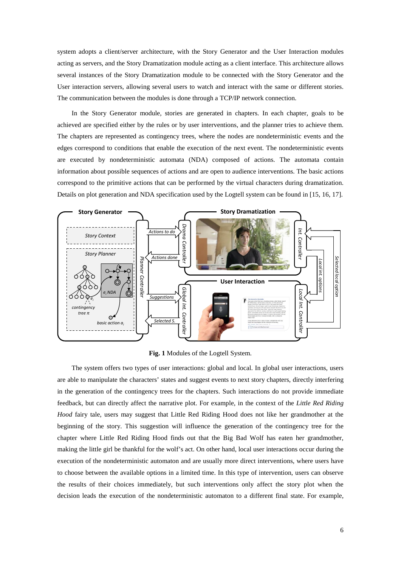system adopts a client/server architecture, with the Story Generator and the User Interaction modules acting as servers, and the Story Dramatization module acting as a client interface. This architecture allows several instances of the Story Dramatization module to be connected with the Story Generator and the User interaction servers, allowing several users to watch and interact with the same or different stories. The communication between the modules is done through a TCP/IP network connection.

In the Story Generator module, stories are generated in chapters. In each chapter, goals to be achieved are specified either by the rules or by user interventions, and the planner tries to achieve them. The chapters are represented as contingency trees, where the nodes are nondeterministic events and the edges correspond to conditions that enable the execution of the next event. The nondeterministic events are executed by nondeterministic automata (NDA) composed of actions. The automata contain information about possible sequences of actions and are open to audience interventions. The basic actions correspond to the primitive actions that can be performed by the virtual characters during dramatization. Details on plot generation and NDA specification used by the Logtell system can be found in [15, 16, 17].



**Fig. 1** Modules of the Logtell System.

The system offers two types of user interactions: global and local. In global user interactions, users are able to manipulate the characters' states and suggest events to next story chapters, directly interfering in the generation of the contingency trees for the chapters. Such interactions do not provide immediate feedback, but can directly affect the narrative plot. For example, in the context of the *Little Red Riding Hood* fairy tale, users may suggest that Little Red Riding Hood does not like her grandmother at the beginning of the story. This suggestion will influence the generation of the contingency tree for the chapter where Little Red Riding Hood finds out that the Big Bad Wolf has eaten her grandmother, making the little girl be thankful for the wolf's act. On other hand, local user interactions occur during the execution of the nondeterministic automaton and are usually more direct interventions, where users have to choose between the available options in a limited time. In this type of intervention, users can observe the results of their choices immediately, but such interventions only affect the story plot when the decision leads the execution of the nondeterministic automaton to a different final state. For example,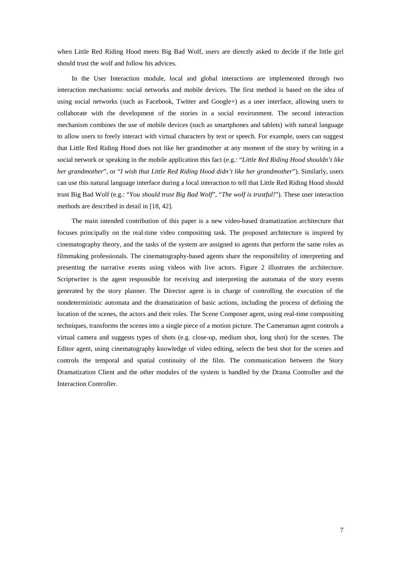when Little Red Riding Hood meets Big Bad Wolf, users are directly asked to decide if the little girl should trust the wolf and follow his advices.

In the User Interaction module, local and global interactions are implemented through two interaction mechanisms: social networks and mobile devices. The first method is based on the idea of using social networks (such as Facebook, Twitter and Google+) as a user interface, allowing users to collaborate with the development of the stories in a social environment. The second interaction mechanism combines the use of mobile devices (such as smartphones and tablets) with natural language to allow users to freely interact with virtual characters by text or speech. For example, users can suggest that Little Red Riding Hood does not like her grandmother at any moment of the story by writing in a social network or speaking in the mobile application this fact (e.g.: "*Little Red Riding Hood shouldn't like her grandmother*", or "*I wish that Little Red Riding Hood didn't like her grandmother*"). Similarly, users can use this natural language interface during a local interaction to tell that Little Red Riding Hood should trust Big Bad Wolf (e.g.: "*You should trust Big Bad Wolf*", "*The wolf is trustful!*"). These user interaction methods are described in detail in [18, 42].

The main intended contribution of this paper is a new video-based dramatization architecture that focuses principally on the real-time video compositing task. The proposed architecture is inspired by cinematography theory, and the tasks of the system are assigned to agents that perform the same roles as filmmaking professionals. The cinematography-based agents share the responsibility of interpreting and presenting the narrative events using videos with live actors. Figure 2 illustrates the architecture. Scriptwriter is the agent responsible for receiving and interpreting the automata of the story events generated by the story planner. The Director agent is in charge of controlling the execution of the nondeterministic automata and the dramatization of basic actions, including the process of defining the location of the scenes, the actors and their roles. The Scene Composer agent, using real-time compositing techniques, transforms the scenes into a single piece of a motion picture. The Cameraman agent controls a virtual camera and suggests types of shots (e.g. close-up, medium shot, long shot) for the scenes. The Editor agent, using cinematography knowledge of video editing, selects the best shot for the scenes and controls the temporal and spatial continuity of the film. The communication between the Story Dramatization Client and the other modules of the system is handled by the Drama Controller and the Interaction Controller.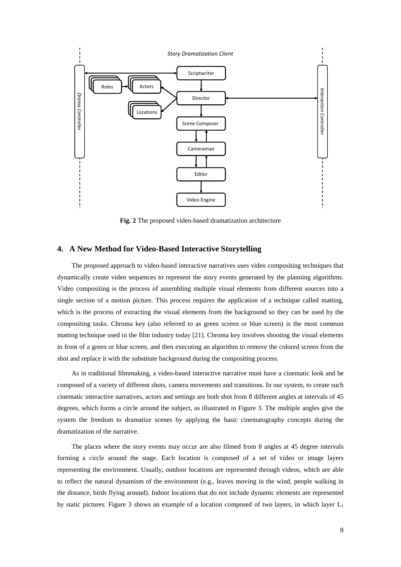

**Fig. 2** The proposed video-based dramatization architecture

#### **4. A New Method for Video-Based Interactive Storytelling**

The proposed approach to video-based interactive narratives uses video compositing techniques that dynamically create video sequences to represent the story events generated by the planning algorithms. Video compositing is the process of assembling multiple visual elements from different sources into a single section of a motion picture. This process requires the application of a technique called matting, which is the process of extracting the visual elements from the background so they can be used by the compositing tasks. Chroma key (also referred to as green screen or blue screen) is the most common matting technique used in the film industry today [21]. Chroma key involves shooting the visual elements in front of a green or blue screen, and then executing an algorithm to remove the colored screen from the shot and replace it with the substitute background during the compositing process.

As in traditional filmmaking, a video-based interactive narrative must have a cinematic look and be composed of a variety of different shots, camera movements and transitions. In our system, to create such cinematic interactive narratives, actors and settings are both shot from 8 different angles at intervals of 45 degrees, which forms a circle around the subject, as illustrated in Figure 3. The multiple angles give the system the freedom to dramatize scenes by applying the basic cinematography concepts during the dramatization of the narrative.

The places where the story events may occur are also filmed from 8 angles at 45 degree intervals forming a circle around the stage. Each location is composed of a set of video or image layers representing the environment. Usually, outdoor locations are represented through videos, which are able to reflect the natural dynamism of the environment (e.g., leaves moving in the wind, people walking in the distance, birds flying around). Indoor locations that do not include dynamic elements are represented by static pictures. Figure 3 shows an example of a location composed of two layers, in which layer  $L_1$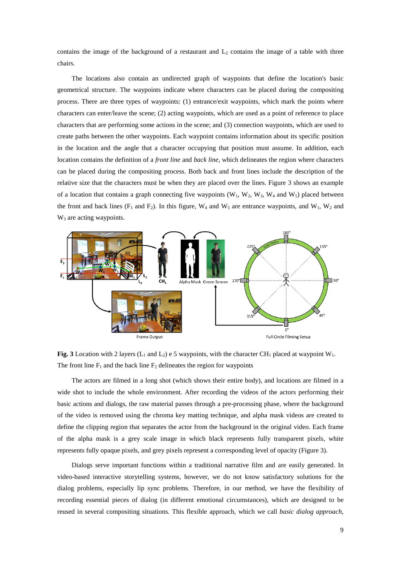contains the image of the background of a restaurant and  $L_2$  contains the image of a table with three chairs.

The locations also contain an undirected graph of waypoints that define the location's basic geometrical structure. The waypoints indicate where characters can be placed during the compositing process. There are three types of waypoints: (1) entrance/exit waypoints, which mark the points where characters can enter/leave the scene; (2) acting waypoints, which are used as a point of reference to place characters that are performing some actions in the scene; and (3) connection waypoints, which are used to create paths between the other waypoints. Each waypoint contains information about its specific position in the location and the angle that a character occupying that position must assume. In addition, each location contains the definition of a *front line* and *back line*, which delineates the region where characters can be placed during the compositing process. Both back and front lines include the description of the relative size that the characters must be when they are placed over the lines. Figure 3 shows an example of a location that contains a graph connecting five waypoints  $(W_1, W_2, W_3, W_4$  and  $W_5)$  placed between the front and back lines ( $F_1$  and  $F_2$ ). In this figure,  $W_4$  and  $W_5$  are entrance waypoints, and  $W_1$ ,  $W_2$  and W3 are acting waypoints.



**Fig. 3** Location with 2 layers ( $L_1$  and  $L_2$ ) e 5 waypoints, with the character CH<sub>1</sub> placed at waypoint W<sub>1</sub>. The front line  $F_1$  and the back line  $F_2$  delineates the region for waypoints

The actors are filmed in a long shot (which shows their entire body), and locations are filmed in a wide shot to include the whole environment. After recording the videos of the actors performing their basic actions and dialogs, the raw material passes through a pre-processing phase, where the background of the video is removed using the chroma key matting technique, and alpha mask videos are created to define the clipping region that separates the actor from the background in the original video. Each frame of the alpha mask is a grey scale image in which black represents fully transparent pixels, white represents fully opaque pixels, and grey pixels represent a corresponding level of opacity (Figure 3).

Dialogs serve important functions within a traditional narrative film and are easily generated. In video-based interactive storytelling systems, however, we do not know satisfactory solutions for the dialog problems, especially lip sync problems. Therefore, in our method, we have the flexibility of recording essential pieces of dialog (in different emotional circumstances), which are designed to be reused in several compositing situations. This flexible approach, which we call *basic dialog approach*,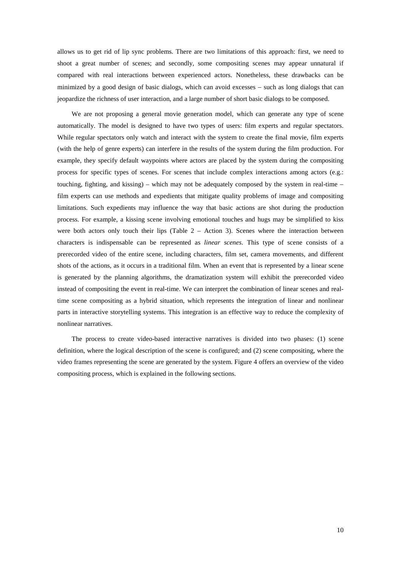allows us to get rid of lip sync problems. There are two limitations of this approach: first, we need to shoot a great number of scenes; and secondly, some compositing scenes may appear unnatural if compared with real interactions between experienced actors. Nonetheless, these drawbacks can be minimized by a good design of basic dialogs, which can avoid excesses – such as long dialogs that can jeopardize the richness of user interaction, and a large number of short basic dialogs to be composed.

We are not proposing a general movie generation model, which can generate any type of scene automatically. The model is designed to have two types of users: film experts and regular spectators. While regular spectators only watch and interact with the system to create the final movie, film experts (with the help of genre experts) can interfere in the results of the system during the film production. For example, they specify default waypoints where actors are placed by the system during the compositing process for specific types of scenes. For scenes that include complex interactions among actors (e.g.: touching, fighting, and kissing) – which may not be adequately composed by the system in real-time − film experts can use methods and expedients that mitigate quality problems of image and compositing limitations. Such expedients may influence the way that basic actions are shot during the production process. For example, a kissing scene involving emotional touches and hugs may be simplified to kiss were both actors only touch their lips (Table  $2 -$  Action 3). Scenes where the interaction between characters is indispensable can be represented as *linear scenes*. This type of scene consists of a prerecorded video of the entire scene, including characters, film set, camera movements, and different shots of the actions, as it occurs in a traditional film. When an event that is represented by a linear scene is generated by the planning algorithms, the dramatization system will exhibit the prerecorded video instead of compositing the event in real-time. We can interpret the combination of linear scenes and realtime scene compositing as a hybrid situation, which represents the integration of linear and nonlinear parts in interactive storytelling systems. This integration is an effective way to reduce the complexity of nonlinear narratives.

The process to create video-based interactive narratives is divided into two phases: (1) scene definition, where the logical description of the scene is configured; and (2) scene compositing, where the video frames representing the scene are generated by the system. Figure 4 offers an overview of the video compositing process, which is explained in the following sections.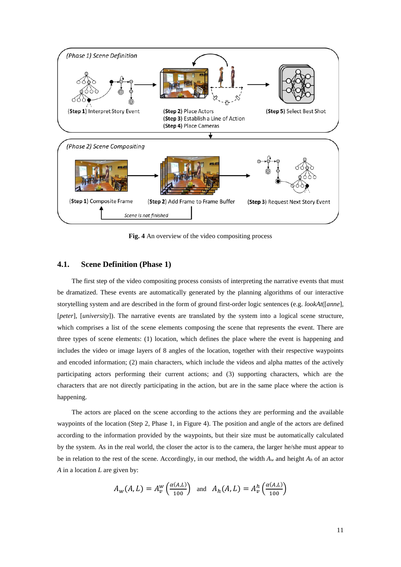

**Fig. 4** An overview of the video compositing process

## **4.1. Scene Definition (Phase 1)**

The first step of the video compositing process consists of interpreting the narrative events that must be dramatized. These events are automatically generated by the planning algorithms of our interactive storytelling system and are described in the form of ground first-order logic sentences (e.g. *lookAt*([*anne*], [*peter*], [*university*]). The narrative events are translated by the system into a logical scene structure, which comprises a list of the scene elements composing the scene that represents the event. There are three types of scene elements: (1) location, which defines the place where the event is happening and includes the video or image layers of 8 angles of the location, together with their respective waypoints and encoded information; (2) main characters, which include the videos and alpha mattes of the actively participating actors performing their current actions; and (3) supporting characters, which are the characters that are not directly participating in the action, but are in the same place where the action is happening.

The actors are placed on the scene according to the actions they are performing and the available waypoints of the location (Step 2, Phase 1, in Figure 4). The position and angle of the actors are defined according to the information provided by the waypoints, but their size must be automatically calculated by the system. As in the real world, the closer the actor is to the camera, the larger he/she must appear to be in relation to the rest of the scene. Accordingly, in our method, the width  $A_w$  and height  $A_h$  of an actor *A* in a location *L* are given by:

$$
A_w(A, L) = A_v^w \left( \frac{\alpha(A, L)}{100} \right) \text{ and } A_h(A, L) = A_v^h \left( \frac{\alpha(A, L)}{100} \right)
$$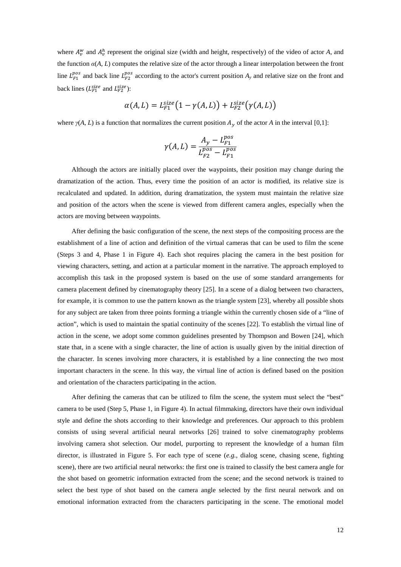where  $A_v^w$  and  $A_v^h$  represent the original size (width and height, respectively) of the video of actor *A*, and the function  $\alpha(A, L)$  computes the relative size of the actor through a linear interpolation between the front line  $L_{F_1}^{pos}$  and back line  $L_{F_2}^{pos}$  according to the actor's current position  $A_y$  and relative size on the front and back lines ( $L_{F1}^{size}$  and  $L_{F2}^{size}$ ):

$$
\alpha(A, L) = L_{F1}^{size}(1 - \gamma(A, L)) + L_{F2}^{size}(\gamma(A, L))
$$

where  $\gamma(A, L)$  is a function that normalizes the current position  $A_{\gamma}$  of the actor *A* in the interval [0,1]:

$$
\gamma(A, L) = \frac{A_y - L_{F1}^{pos}}{L_{F2}^{pos} - L_{F1}^{pos}}
$$

Although the actors are initially placed over the waypoints, their position may change during the dramatization of the action. Thus, every time the position of an actor is modified, its relative size is recalculated and updated. In addition, during dramatization, the system must maintain the relative size and position of the actors when the scene is viewed from different camera angles, especially when the actors are moving between waypoints.

After defining the basic configuration of the scene, the next steps of the compositing process are the establishment of a line of action and definition of the virtual cameras that can be used to film the scene (Steps 3 and 4, Phase 1 in Figure 4). Each shot requires placing the camera in the best position for viewing characters, setting, and action at a particular moment in the narrative. The approach employed to accomplish this task in the proposed system is based on the use of some standard arrangements for camera placement defined by cinematography theory [25]. In a scene of a dialog between two characters, for example, it is common to use the pattern known as the triangle system [23], whereby all possible shots for any subject are taken from three points forming a triangle within the currently chosen side of a "line of action", which is used to maintain the spatial continuity of the scenes [22]. To establish the virtual line of action in the scene, we adopt some common guidelines presented by Thompson and Bowen [24], which state that, in a scene with a single character, the line of action is usually given by the initial direction of the character. In scenes involving more characters, it is established by a line connecting the two most important characters in the scene. In this way, the virtual line of action is defined based on the position and orientation of the characters participating in the action.

After defining the cameras that can be utilized to film the scene, the system must select the "best" camera to be used (Step 5, Phase 1, in Figure 4). In actual filmmaking, directors have their own individual style and define the shots according to their knowledge and preferences. Our approach to this problem consists of using several artificial neural networks [26] trained to solve cinematography problems involving camera shot selection. Our model, purporting to represent the knowledge of a human film director, is illustrated in Figure 5. For each type of scene (*e.g.*, dialog scene, chasing scene, fighting scene), there are two artificial neural networks: the first one is trained to classify the best camera angle for the shot based on geometric information extracted from the scene; and the second network is trained to select the best type of shot based on the camera angle selected by the first neural network and on emotional information extracted from the characters participating in the scene. The emotional model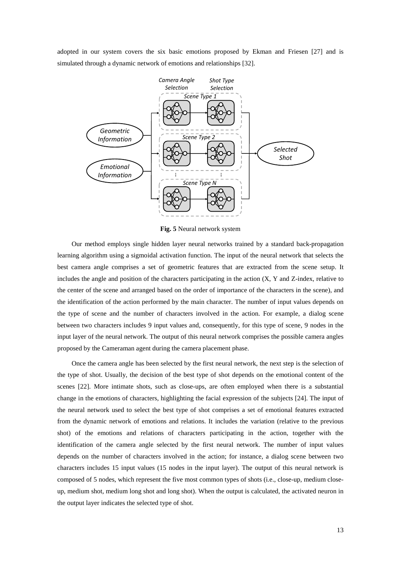adopted in our system covers the six basic emotions proposed by Ekman and Friesen [27] and is simulated through a dynamic network of emotions and relationships [32].



**Fig. 5** Neural network system

Our method employs single hidden layer neural networks trained by a standard back-propagation learning algorithm using a sigmoidal activation function. The input of the neural network that selects the best camera angle comprises a set of geometric features that are extracted from the scene setup. It includes the angle and position of the characters participating in the action (X, Y and Z-index, relative to the center of the scene and arranged based on the order of importance of the characters in the scene), and the identification of the action performed by the main character. The number of input values depends on the type of scene and the number of characters involved in the action. For example, a dialog scene between two characters includes 9 input values and, consequently, for this type of scene, 9 nodes in the input layer of the neural network. The output of this neural network comprises the possible camera angles proposed by the Cameraman agent during the camera placement phase.

Once the camera angle has been selected by the first neural network, the next step is the selection of the type of shot. Usually, the decision of the best type of shot depends on the emotional content of the scenes [22]. More intimate shots, such as close-ups, are often employed when there is a substantial change in the emotions of characters, highlighting the facial expression of the subjects [24]. The input of the neural network used to select the best type of shot comprises a set of emotional features extracted from the dynamic network of emotions and relations. It includes the variation (relative to the previous shot) of the emotions and relations of characters participating in the action, together with the identification of the camera angle selected by the first neural network. The number of input values depends on the number of characters involved in the action; for instance, a dialog scene between two characters includes 15 input values (15 nodes in the input layer). The output of this neural network is composed of 5 nodes, which represent the five most common types of shots (i.e., close-up, medium closeup, medium shot, medium long shot and long shot). When the output is calculated, the activated neuron in the output layer indicates the selected type of shot.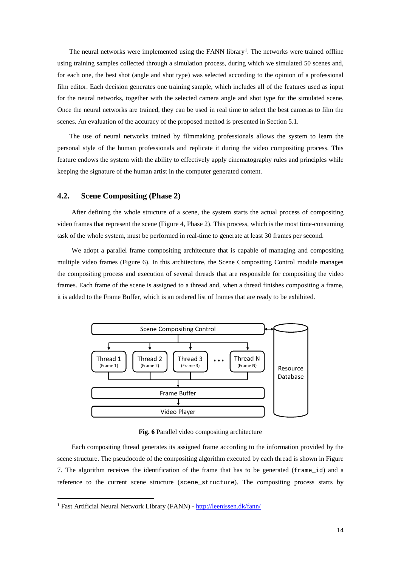The neural networks were implemented using the FANN library<sup>[1](#page-13-0)</sup>. The networks were trained offline using training samples collected through a simulation process, during which we simulated 50 scenes and, for each one, the best shot (angle and shot type) was selected according to the opinion of a professional film editor. Each decision generates one training sample, which includes all of the features used as input for the neural networks, together with the selected camera angle and shot type for the simulated scene. Once the neural networks are trained, they can be used in real time to select the best cameras to film the scenes. An evaluation of the accuracy of the proposed method is presented in Section 5.1.

The use of neural networks trained by filmmaking professionals allows the system to learn the personal style of the human professionals and replicate it during the video compositing process. This feature endows the system with the ability to effectively apply cinematography rules and principles while keeping the signature of the human artist in the computer generated content.

## **4.2. Scene Compositing (Phase 2)**

After defining the whole structure of a scene, the system starts the actual process of compositing video frames that represent the scene (Figure 4, Phase 2). This process, which is the most time-consuming task of the whole system, must be performed in real-time to generate at least 30 frames per second.

We adopt a parallel frame compositing architecture that is capable of managing and compositing multiple video frames (Figure 6). In this architecture, the Scene Compositing Control module manages the compositing process and execution of several threads that are responsible for compositing the video frames. Each frame of the scene is assigned to a thread and, when a thread finishes compositing a frame, it is added to the Frame Buffer, which is an ordered list of frames that are ready to be exhibited.



**Fig. 6** Parallel video compositing architecture

Each compositing thread generates its assigned frame according to the information provided by the scene structure. The pseudocode of the compositing algorithm executed by each thread is shown in Figure 7. The algorithm receives the identification of the frame that has to be generated (frame\_id) and a reference to the current scene structure (scene\_structure). The compositing process starts by

<span id="page-13-0"></span><sup>&</sup>lt;sup>1</sup> Fast Artificial Neural Network Library (FANN) - <http://leenissen.dk/fann/>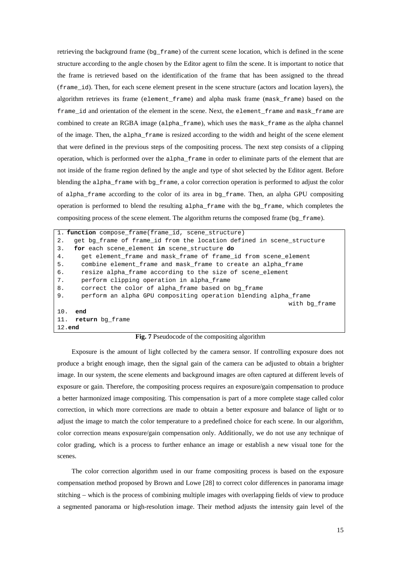retrieving the background frame (bg\_frame) of the current scene location, which is defined in the scene structure according to the angle chosen by the Editor agent to film the scene. It is important to notice that the frame is retrieved based on the identification of the frame that has been assigned to the thread (frame\_id). Then, for each scene element present in the scene structure (actors and location layers), the algorithm retrieves its frame (element\_frame) and alpha mask frame (mask\_frame) based on the frame\_id and orientation of the element in the scene. Next, the element\_frame and mask\_frame are combined to create an RGBA image (alpha\_frame), which uses the mask\_frame as the alpha channel of the image. Then, the alpha\_frame is resized according to the width and height of the scene element that were defined in the previous steps of the compositing process. The next step consists of a clipping operation, which is performed over the alpha\_frame in order to eliminate parts of the element that are not inside of the frame region defined by the angle and type of shot selected by the Editor agent. Before blending the alpha\_frame with bg\_frame, a color correction operation is performed to adjust the color of alpha\_frame according to the color of its area in bg\_frame. Then, an alpha GPU compositing operation is performed to blend the resulting alpha  $f$ rame with the bg  $f$ rame, which completes the compositing process of the scene element. The algorithm returns the composed frame ( $bq$  frame).

1. **function** compose frame(frame id, scene structure) 2. get bg\_frame of frame\_id from the location defined in scene\_structure<br>3. **for** each scene element in scene\_structure **do** 3. **for** each scene\_element **in** scene\_structure **do** 4. get element\_frame and mask\_frame of frame\_id from scene\_element 5. combine element\_frame and mask\_frame to create an alpha\_frame 6. resize alpha frame according to the size of scene element 7. perform clipping operation in alpha\_frame 8. correct the color of alpha\_frame based on bg\_frame 9. perform an alpha GPU compositing operation blending alpha\_frame with bg\_frame 10. **end** 11. **return** bg\_frame 12.**end**

**Fig. 7** Pseudocode of the compositing algorithm

Exposure is the amount of light collected by the camera sensor. If controlling exposure does not produce a bright enough image, then the signal gain of the camera can be adjusted to obtain a brighter image. In our system, the scene elements and background images are often captured at different levels of exposure or gain. Therefore, the compositing process requires an exposure/gain compensation to produce a better harmonized image compositing. This compensation is part of a more complete stage called color correction, in which more corrections are made to obtain a better exposure and balance of light or to adjust the image to match the color temperature to a predefined choice for each scene. In our algorithm, color correction means exposure/gain compensation only. Additionally, we do not use any technique of color grading, which is a process to further enhance an image or establish a new visual tone for the scenes.

The color correction algorithm used in our frame compositing process is based on the exposure compensation method proposed by Brown and Lowe [28] to correct color differences in panorama image stitching − which is the process of combining multiple images with overlapping fields of view to produce a segmented panorama or high-resolution image. Their method adjusts the intensity gain level of the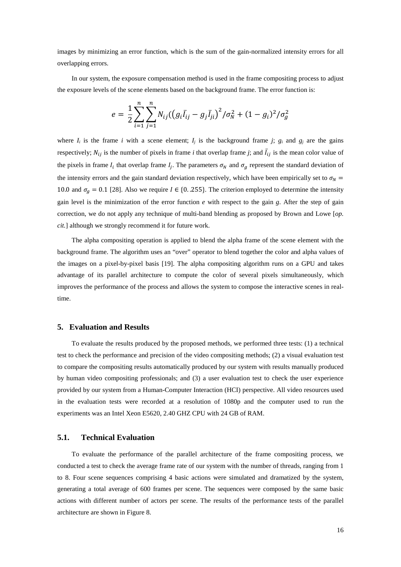images by minimizing an error function, which is the sum of the gain-normalized intensity errors for all overlapping errors.

In our system, the exposure compensation method is used in the frame compositing process to adjust the exposure levels of the scene elements based on the background frame. The error function is:

$$
e = \frac{1}{2} \sum_{i=1}^{n} \sum_{j=1}^{n} N_{ij} ((g_i \bar{I}_{ij} - g_j \bar{I}_{ji})^2 / \sigma_N^2 + (1 - g_i)^2 / \sigma_g^2)
$$

where  $I_i$  is the frame *i* with a scene element;  $I_j$  is the background frame  $j$ ;  $g_i$  and  $g_j$  are the gains respectively;  $N_{ij}$  is the number of pixels in frame *i* that overlap frame *j*; and  $\bar{I}_{ij}$  is the mean color value of the pixels in frame  $I_i$  that overlap frame  $I_j$ . The parameters  $\sigma_N$  and  $\sigma_g$  represent the standard deviation of the intensity errors and the gain standard deviation respectively, which have been empirically set to  $\sigma_N =$ 10.0 and  $\sigma_q = 0.1$  [28]. Also we require  $I \in \{0..255\}$ . The criterion employed to determine the intensity gain level is the minimization of the error function *e* with respect to the gain *g*. After the step of gain correction, we do not apply any technique of multi-band blending as proposed by Brown and Lowe [*op. cit.*] although we strongly recommend it for future work.

The alpha compositing operation is applied to blend the alpha frame of the scene element with the background frame. The algorithm uses an "over" operator to blend together the color and alpha values of the images on a pixel-by-pixel basis [19]. The alpha compositing algorithm runs on a GPU and takes advantage of its parallel architecture to compute the color of several pixels simultaneously, which improves the performance of the process and allows the system to compose the interactive scenes in realtime.

## **5. Evaluation and Results**

To evaluate the results produced by the proposed methods, we performed three tests: (1) a technical test to check the performance and precision of the video compositing methods; (2) a visual evaluation test to compare the compositing results automatically produced by our system with results manually produced by human video compositing professionals; and (3) a user evaluation test to check the user experience provided by our system from a Human-Computer Interaction (HCI) perspective. All video resources used in the evaluation tests were recorded at a resolution of 1080p and the computer used to run the experiments was an Intel Xeon E5620, 2.40 GHZ CPU with 24 GB of RAM.

#### **5.1. Technical Evaluation**

To evaluate the performance of the parallel architecture of the frame compositing process, we conducted a test to check the average frame rate of our system with the number of threads, ranging from 1 to 8. Four scene sequences comprising 4 basic actions were simulated and dramatized by the system, generating a total average of 600 frames per scene. The sequences were composed by the same basic actions with different number of actors per scene. The results of the performance tests of the parallel architecture are shown in Figure 8.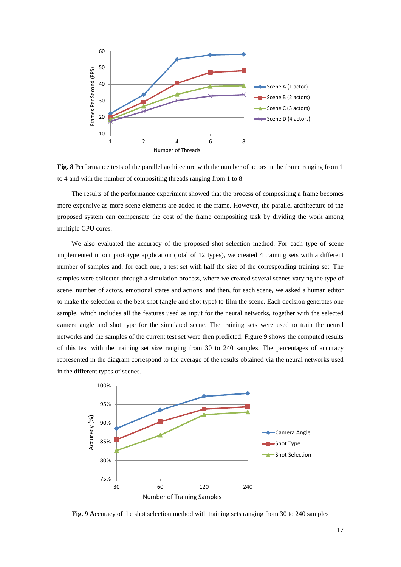

**Fig. 8** Performance tests of the parallel architecture with the number of actors in the frame ranging from 1 to 4 and with the number of compositing threads ranging from 1 to 8

The results of the performance experiment showed that the process of compositing a frame becomes more expensive as more scene elements are added to the frame. However, the parallel architecture of the proposed system can compensate the cost of the frame compositing task by dividing the work among multiple CPU cores.

We also evaluated the accuracy of the proposed shot selection method. For each type of scene implemented in our prototype application (total of 12 types), we created 4 training sets with a different number of samples and, for each one, a test set with half the size of the corresponding training set. The samples were collected through a simulation process, where we created several scenes varying the type of scene, number of actors, emotional states and actions, and then, for each scene, we asked a human editor to make the selection of the best shot (angle and shot type) to film the scene. Each decision generates one sample, which includes all the features used as input for the neural networks, together with the selected camera angle and shot type for the simulated scene. The training sets were used to train the neural networks and the samples of the current test set were then predicted. Figure 9 shows the computed results of this test with the training set size ranging from 30 to 240 samples. The percentages of accuracy represented in the diagram correspond to the average of the results obtained via the neural networks used in the different types of scenes.



**Fig. 9 A**ccuracy of the shot selection method with training sets ranging from 30 to 240 samples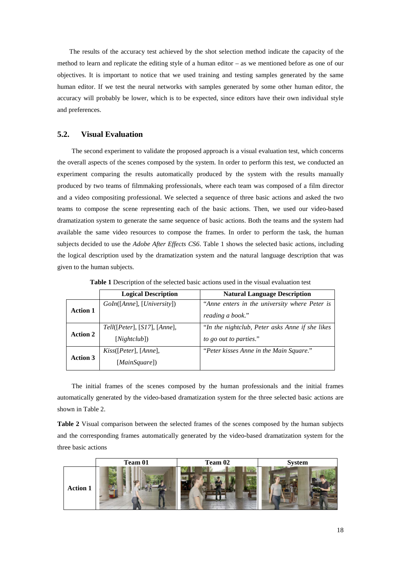The results of the accuracy test achieved by the shot selection method indicate the capacity of the method to learn and replicate the editing style of a human editor – as we mentioned before as one of our objectives. It is important to notice that we used training and testing samples generated by the same human editor. If we test the neural networks with samples generated by some other human editor, the accuracy will probably be lower, which is to be expected, since editors have their own individual style and preferences.

#### **5.2. Visual Evaluation**

The second experiment to validate the proposed approach is a visual evaluation test, which concerns the overall aspects of the scenes composed by the system. In order to perform this test, we conducted an experiment comparing the results automatically produced by the system with the results manually produced by two teams of filmmaking professionals, where each team was composed of a film director and a video compositing professional. We selected a sequence of three basic actions and asked the two teams to compose the scene representing each of the basic actions. Then, we used our video-based dramatization system to generate the same sequence of basic actions. Both the teams and the system had available the same video resources to compose the frames. In order to perform the task, the human subjects decided to use the *Adobe After Effects CS6*. Table 1 shows the selected basic actions, including the logical description used by the dramatization system and the natural language description that was given to the human subjects.

|                 | <b>Logical Description</b>   | <b>Natural Language Description</b>              |
|-----------------|------------------------------|--------------------------------------------------|
| <b>Action 1</b> | GoIn([Anne], [University])   | "Anne enters in the university where Peter is    |
|                 |                              | reading a book."                                 |
| <b>Action 2</b> | Tell([Peter], [S17], [Anne], | "In the nightclub, Peter asks Anne if she likes" |
|                 | [Nightclub]                  | to go out to parties."                           |
| <b>Action 3</b> | Kiss([Peter], [Anne],        | "Peter kisses Anne in the Main Square."          |
|                 | [MainSquare])                |                                                  |

**Table 1** Description of the selected basic actions used in the visual evaluation test

The initial frames of the scenes composed by the human professionals and the initial frames automatically generated by the video-based dramatization system for the three selected basic actions are shown in Table 2.

**Table 2** Visual comparison between the selected frames of the scenes composed by the human subjects and the corresponding frames automatically generated by the video-based dramatization system for the three basic actions

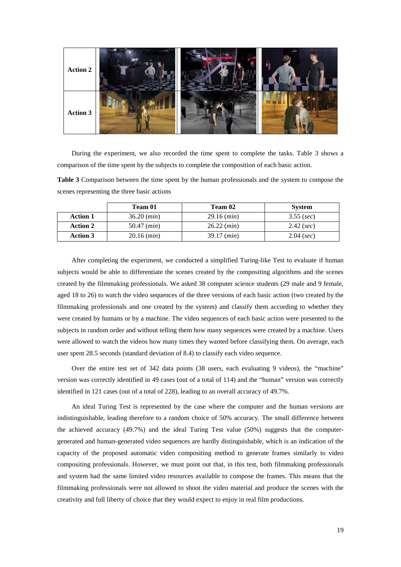

During the experiment, we also recorded the time spent to complete the tasks. Table 3 shows a comparison of the time spent by the subjects to complete the composition of each basic action.

**Table 3** Comparison between the time spent by the human professionals and the system to compose the scenes representing the three basic actions

|                 | Team 01                | <b>Team 02</b>         | <b>System</b> |
|-----------------|------------------------|------------------------|---------------|
| <b>Action 1</b> | 36.20 (min)            | 29.16 (min)            | $3.55$ (sec)  |
| <b>Action 2</b> | $50.47$ ( <i>min</i> ) | 26.22 (min)            | $2.42$ (sec)  |
| <b>Action 3</b> | 20.16 (min)            | $39.17$ ( <i>min</i> ) | $2.04$ (sec)  |

After completing the experiment, we conducted a simplified Turing-like Test to evaluate if human subjects would be able to differentiate the scenes created by the compositing algorithms and the scenes created by the filmmaking professionals. We asked 38 computer science students (29 male and 9 female, aged 18 to 26) to watch the video sequences of the three versions of each basic action (two created by the filmmaking professionals and one created by the system) and classify them according to whether they were created by humans or by a machine. The video sequences of each basic action were presented to the subjects in random order and without telling them how many sequences were created by a machine. Users were allowed to watch the videos how many times they wanted before classifying them. On average, each user spent 28.5 seconds (standard deviation of 8.4) to classify each video sequence.

Over the entire test set of 342 data points (38 users, each evaluating 9 videos), the "machine" version was correctly identified in 49 cases (out of a total of 114) and the "human" version was correctly identified in 121 cases (out of a total of 228), leading to an overall accuracy of 49.7%.

An ideal Turing Test is represented by the case where the computer and the human versions are indistinguishable, leading therefore to a random choice of 50% accuracy. The small difference between the achieved accuracy (49.7%) and the ideal Turing Test value (50%) suggests that the computergenerated and human-generated video sequences are hardly distinguishable, which is an indication of the capacity of the proposed automatic video compositing method to generate frames similarly to video compositing professionals. However, we must point out that, in this test, both filmmaking professionals and system had the same limited video resources available to compose the frames. This means that the filmmaking professionals were not allowed to shoot the video material and produce the scenes with the creativity and full liberty of choice that they would expect to enjoy in real film productions.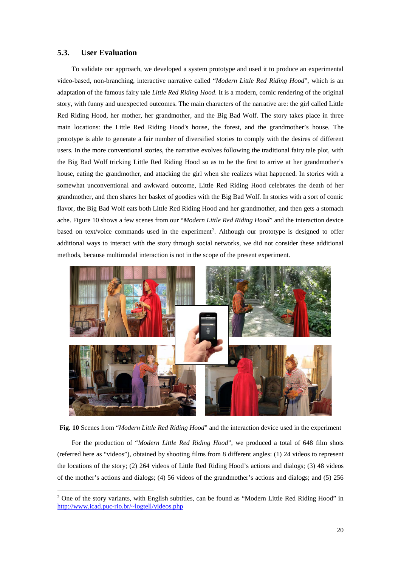## **5.3. User Evaluation**

To validate our approach, we developed a system prototype and used it to produce an experimental video-based, non-branching, interactive narrative called "*Modern Little Red Riding Hood*", which is an adaptation of the famous fairy tale *Little Red Riding Hood*. It is a modern, comic rendering of the original story, with funny and unexpected outcomes. The main characters of the narrative are: the girl called Little Red Riding Hood, her mother, her grandmother, and the Big Bad Wolf. The story takes place in three main locations: the Little Red Riding Hood's house, the forest, and the grandmother's house. The prototype is able to generate a fair number of diversified stories to comply with the desires of different users. In the more conventional stories, the narrative evolves following the traditional fairy tale plot, with the Big Bad Wolf tricking Little Red Riding Hood so as to be the first to arrive at her grandmother's house, eating the grandmother, and attacking the girl when she realizes what happened. In stories with a somewhat unconventional and awkward outcome, Little Red Riding Hood celebrates the death of her grandmother, and then shares her basket of goodies with the Big Bad Wolf. In stories with a sort of comic flavor, the Big Bad Wolf eats both Little Red Riding Hood and her grandmother, and then gets a stomach ache. Figure 10 shows a few scenes from our "*Modern Little Red Riding Hood*" and the interaction device based on text/voice commands used in the experiment<sup>[2](#page-19-0)</sup>. Although our prototype is designed to offer additional ways to interact with the story through social networks, we did not consider these additional methods, because multimodal interaction is not in the scope of the present experiment.



**Fig. 10** Scenes from "*Modern Little Red Riding Hood*" and the interaction device used in the experiment

For the production of "*Modern Little Red Riding Hood*", we produced a total of 648 film shots (referred here as "videos"), obtained by shooting films from 8 different angles: (1) 24 videos to represent the locations of the story; (2) 264 videos of Little Red Riding Hood's actions and dialogs; (3) 48 videos of the mother's actions and dialogs; (4) 56 videos of the grandmother's actions and dialogs; and (5) 256

<span id="page-19-0"></span> <sup>2</sup> One of the story variants, with English subtitles, can be found as "Modern Little Red Riding Hood" in [http://www.icad.puc-rio.br/~logtell/videos.php](http://www.icad.puc-rio.br/%7Elogtell/videos.php)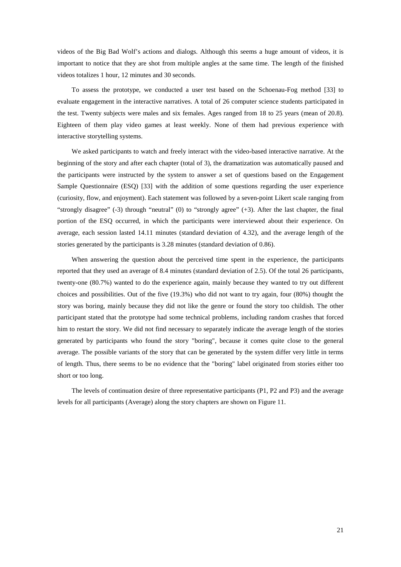videos of the Big Bad Wolf's actions and dialogs. Although this seems a huge amount of videos, it is important to notice that they are shot from multiple angles at the same time. The length of the finished videos totalizes 1 hour, 12 minutes and 30 seconds.

To assess the prototype, we conducted a user test based on the Schoenau-Fog method [33] to evaluate engagement in the interactive narratives. A total of 26 computer science students participated in the test. Twenty subjects were males and six females. Ages ranged from 18 to 25 years (mean of 20.8). Eighteen of them play video games at least weekly. None of them had previous experience with interactive storytelling systems.

We asked participants to watch and freely interact with the video-based interactive narrative. At the beginning of the story and after each chapter (total of 3), the dramatization was automatically paused and the participants were instructed by the system to answer a set of questions based on the Engagement Sample Questionnaire (ESQ) [33] with the addition of some questions regarding the user experience (curiosity, flow, and enjoyment). Each statement was followed by a seven-point Likert scale ranging from "strongly disagree" (-3) through "neutral" (0) to "strongly agree" (+3). After the last chapter, the final portion of the ESQ occurred, in which the participants were interviewed about their experience. On average, each session lasted 14.11 minutes (standard deviation of 4.32), and the average length of the stories generated by the participants is 3.28 minutes (standard deviation of 0.86).

When answering the question about the perceived time spent in the experience, the participants reported that they used an average of 8.4 minutes (standard deviation of 2.5). Of the total 26 participants, twenty-one (80.7%) wanted to do the experience again, mainly because they wanted to try out different choices and possibilities. Out of the five (19.3%) who did not want to try again, four (80%) thought the story was boring, mainly because they did not like the genre or found the story too childish. The other participant stated that the prototype had some technical problems, including random crashes that forced him to restart the story. We did not find necessary to separately indicate the average length of the stories generated by participants who found the story "boring", because it comes quite close to the general average. The possible variants of the story that can be generated by the system differ very little in terms of length. Thus, there seems to be no evidence that the "boring" label originated from stories either too short or too long.

The levels of continuation desire of three representative participants (P1, P2 and P3) and the average levels for all participants (Average) along the story chapters are shown on Figure 11.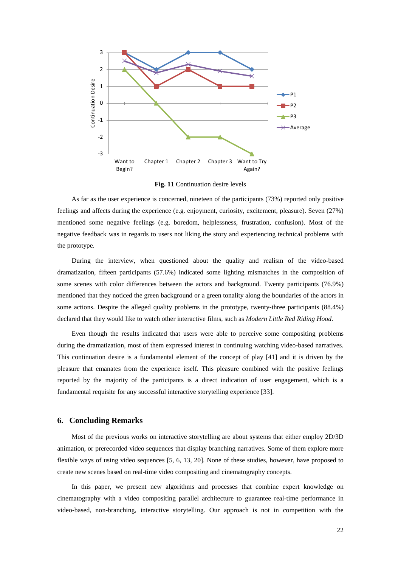

**Fig. 11** Continuation desire levels

As far as the user experience is concerned, nineteen of the participants (73%) reported only positive feelings and affects during the experience (e.g. enjoyment, curiosity, excitement, pleasure). Seven (27%) mentioned some negative feelings (e.g. boredom, helplessness, frustration, confusion). Most of the negative feedback was in regards to users not liking the story and experiencing technical problems with the prototype.

During the interview, when questioned about the quality and realism of the video-based dramatization, fifteen participants (57.6%) indicated some lighting mismatches in the composition of some scenes with color differences between the actors and background. Twenty participants (76.9%) mentioned that they noticed the green background or a green tonality along the boundaries of the actors in some actions. Despite the alleged quality problems in the prototype, twenty-three participants (88.4%) declared that they would like to watch other interactive films, such as *Modern Little Red Riding Hood*.

Even though the results indicated that users were able to perceive some compositing problems during the dramatization, most of them expressed interest in continuing watching video-based narratives. This continuation desire is a fundamental element of the concept of play [41] and it is driven by the pleasure that emanates from the experience itself. This pleasure combined with the positive feelings reported by the majority of the participants is a direct indication of user engagement, which is a fundamental requisite for any successful interactive storytelling experience [33].

#### **6. Concluding Remarks**

Most of the previous works on interactive storytelling are about systems that either employ 2D/3D animation, or prerecorded video sequences that display branching narratives. Some of them explore more flexible ways of using video sequences [5, 6, 13, 20]. None of these studies, however, have proposed to create new scenes based on real-time video compositing and cinematography concepts.

In this paper, we present new algorithms and processes that combine expert knowledge on cinematography with a video compositing parallel architecture to guarantee real-time performance in video-based, non-branching, interactive storytelling. Our approach is not in competition with the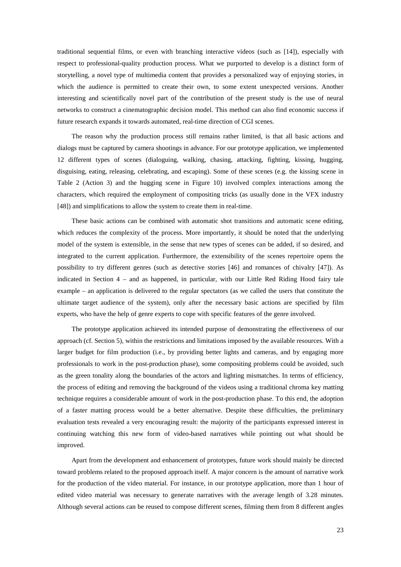traditional sequential films, or even with branching interactive videos (such as [14]), especially with respect to professional-quality production process. What we purported to develop is a distinct form of storytelling, a novel type of multimedia content that provides a personalized way of enjoying stories, in which the audience is permitted to create their own, to some extent unexpected versions. Another interesting and scientifically novel part of the contribution of the present study is the use of neural networks to construct a cinematographic decision model. This method can also find economic success if future research expands it towards automated, real-time direction of CGI scenes.

The reason why the production process still remains rather limited, is that all basic actions and dialogs must be captured by camera shootings in advance. For our prototype application, we implemented 12 different types of scenes (dialoguing, walking, chasing, attacking, fighting, kissing, hugging, disguising, eating, releasing, celebrating, and escaping). Some of these scenes (e.g. the kissing scene in Table 2 (Action 3) and the hugging scene in Figure 10) involved complex interactions among the characters, which required the employment of compositing tricks (as usually done in the VFX industry [48]) and simplifications to allow the system to create them in real-time.

These basic actions can be combined with automatic shot transitions and automatic scene editing, which reduces the complexity of the process. More importantly, it should be noted that the underlying model of the system is extensible, in the sense that new types of scenes can be added, if so desired, and integrated to the current application. Furthermore, the extensibility of the scenes repertoire opens the possibility to try different genres (such as detective stories [46] and romances of chivalry [47]). As indicated in Section 4 – and as happened, in particular, with our Little Red Riding Hood fairy tale example – an application is delivered to the regular spectators (as we called the users that constitute the ultimate target audience of the system), only after the necessary basic actions are specified by film experts, who have the help of genre experts to cope with specific features of the genre involved.

The prototype application achieved its intended purpose of demonstrating the effectiveness of our approach (cf. Section 5), within the restrictions and limitations imposed by the available resources. With a larger budget for film production (i.e., by providing better lights and cameras, and by engaging more professionals to work in the post-production phase), some compositing problems could be avoided, such as the green tonality along the boundaries of the actors and lighting mismatches. In terms of efficiency, the process of editing and removing the background of the videos using a traditional chroma key matting technique requires a considerable amount of work in the post-production phase. To this end, the adoption of a faster matting process would be a better alternative. Despite these difficulties, the preliminary evaluation tests revealed a very encouraging result: the majority of the participants expressed interest in continuing watching this new form of video-based narratives while pointing out what should be improved.

Apart from the development and enhancement of prototypes, future work should mainly be directed toward problems related to the proposed approach itself. A major concern is the amount of narrative work for the production of the video material. For instance, in our prototype application, more than 1 hour of edited video material was necessary to generate narratives with the average length of 3.28 minutes. Although several actions can be reused to compose different scenes, filming them from 8 different angles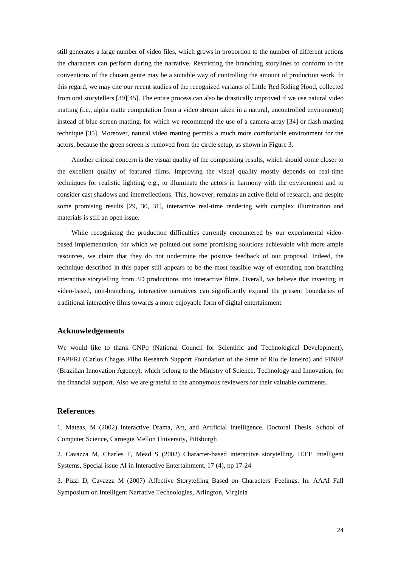still generates a large number of video files, which grows in proportion to the number of different actions the characters can perform during the narrative. Restricting the branching storylines to conform to the conventions of the chosen genre may be a suitable way of controlling the amount of production work. In this regard, we may cite our recent studies of the recognized variants of Little Red Riding Hood, collected from oral storytellers [39][45]. The entire process can also be drastically improved if we use natural video matting (i.e., alpha matte computation from a video stream taken in a natural, uncontrolled environment) instead of blue-screen matting, for which we recommend the use of a camera array [34] or flash matting technique [35]. Moreover, natural video matting permits a much more comfortable environment for the actors, because the green screen is removed from the circle setup, as shown in Figure 3.

Another critical concern is the visual quality of the compositing results, which should come closer to the excellent quality of featured films. Improving the visual quality mostly depends on real-time techniques for realistic lighting, e.g., to illuminate the actors in harmony with the environment and to consider cast shadows and interreflections. This, however, remains an active field of research, and despite some promising results [29, 30, 31], interactive real-time rendering with complex illumination and materials is still an open issue.

While recognizing the production difficulties currently encountered by our experimental videobased implementation, for which we pointed out some promising solutions achievable with more ample resources, we claim that they do not undermine the positive feedback of our proposal. Indeed, the technique described in this paper still appears to be the most feasible way of extending non-branching interactive storytelling from 3D productions into interactive films. Overall, we believe that investing in video-based, non-branching, interactive narratives can significantly expand the present boundaries of traditional interactive films towards a more enjoyable form of digital entertainment.

#### **Acknowledgements**

We would like to thank CNPq (National Council for Scientific and Technological Development), FAPERJ (Carlos Chagas Filho Research Support Foundation of the State of Rio de Janeiro) and FINEP (Brazilian Innovation Agency), which belong to the Ministry of Science, Technology and Innovation, for the financial support. Also we are grateful to the anonymous reviewers for their valuable comments.

#### **References**

1. Mateas, M (2002) Interactive Drama, Art, and Artificial Intelligence. Doctoral Thesis. School of Computer Science, Carnegie Mellon University, Pittsburgh

2. Cavazza M, Charles F, Mead S (2002) Character-based interactive storytelling. IEEE Intelligent Systems, Special issue AI in Interactive Entertainment, 17 (4), pp 17-24

3. Pizzi D, Cavazza M (2007) Affective Storytelling Based on Characters' Feelings. In: AAAI Fall Symposium on Intelligent Narrative Technologies, Arlington, Virginia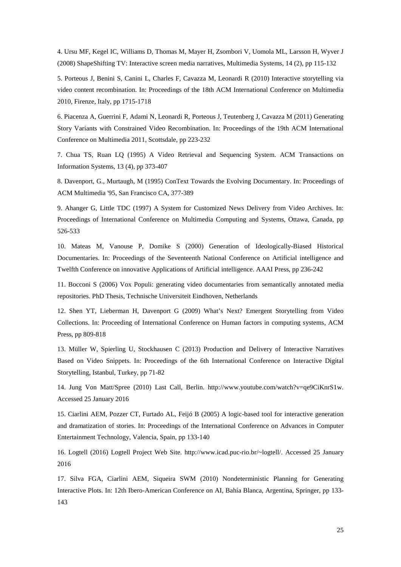4. Ursu MF, Kegel IC, Williams D, Thomas M, Mayer H, Zsombori V, Uomola ML, Larsson H, Wyver J (2008) ShapeShifting TV: Interactive screen media narratives, Multimedia Systems, 14 (2), pp 115-132

5. Porteous J, Benini S, Canini L, Charles F, Cavazza M, Leonardi R (2010) Interactive storytelling via video content recombination. In: Proceedings of the 18th ACM International Conference on Multimedia 2010, Firenze, Italy, pp 1715-1718

6. Piacenza A, Guerrini F, Adami N, Leonardi R, Porteous J, Teutenberg J, Cavazza M (2011) Generating Story Variants with Constrained Video Recombination. In: Proceedings of the 19th ACM International Conference on Multimedia 2011, Scottsdale, pp 223-232

7. Chua TS, Ruan LQ (1995) A Video Retrieval and Sequencing System. ACM Transactions on Information Systems, 13 (4), pp 373-407

8. Davenport, G., Murtaugh, M (1995) ConText Towards the Evolving Documentary. In: Proceedings of ACM Multimedia '95, San Francisco CA, 377-389

9. Ahanger G, Little TDC (1997) A System for Customized News Delivery from Video Archives. In: Proceedings of International Conference on Multimedia Computing and Systems, Ottawa, Canada, pp 526-533

10. Mateas M, Vanouse P, Domike S (2000) Generation of Ideologically-Biased Historical Documentaries. In: Proceedings of the Seventeenth National Conference on Artificial intelligence and Twelfth Conference on innovative Applications of Artificial intelligence. AAAI Press, pp 236-242

11. Bocconi S (2006) Vox Populi: generating video documentaries from semantically annotated media repositories. PhD Thesis, Technische Universiteit Eindhoven, Netherlands

12. Shen YT, Lieberman H, Davenport G (2009) What's Next? Emergent Storytelling from Video Collections. In: Proceeding of International Conference on Human factors in computing systems, ACM Press, pp 809-818

13. Müller W, Spierling U, Stockhausen C (2013) Production and Delivery of Interactive Narratives Based on Video Snippets. In: Proceedings of the 6th International Conference on Interactive Digital Storytelling, Istanbul, Turkey, pp 71-82

14. Jung Von Matt/Spree (2010) Last Call, Berlin. http://www.youtube.com/watch?v=qe9CiKnrS1w. Accessed 25 January 2016

15. Ciarlini AEM, Pozzer CT, Furtado AL, Feijó B (2005) A logic-based tool for interactive generation and dramatization of stories. In: Proceedings of the International Conference on Advances in Computer Entertainment Technology, Valencia, Spain, pp 133-140

16. Logtell (2016) Logtell Project Web Site. http://www.icad.puc-rio.br/~logtell/. Accessed 25 January 2016

17. Silva FGA, Ciarlini AEM, Siqueira SWM (2010) Nondeterministic Planning for Generating Interactive Plots. In: 12th Ibero-American Conference on AI, Bahía Blanca, Argentina, Springer, pp 133- 143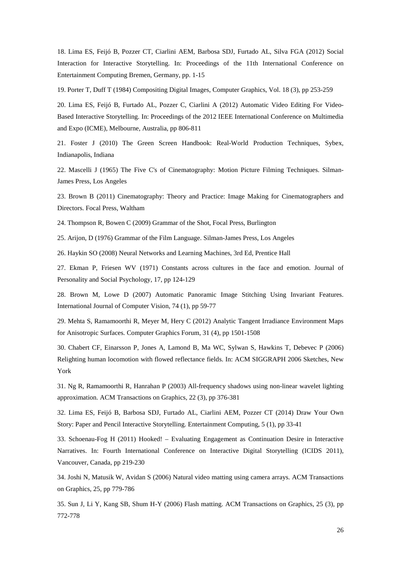18. Lima ES, Feijó B, Pozzer CT, Ciarlini AEM, Barbosa SDJ, Furtado AL, Silva FGA (2012) Social Interaction for Interactive Storytelling. In: Proceedings of the 11th International Conference on Entertainment Computing Bremen, Germany, pp. 1-15

19. Porter T, Duff T (1984) Compositing Digital Images, Computer Graphics, Vol. 18 (3), pp 253-259

20. Lima ES, Feijó B, Furtado AL, Pozzer C, Ciarlini A (2012) Automatic Video Editing For Video-Based Interactive Storytelling. In: Proceedings of the 2012 IEEE International Conference on Multimedia and Expo (ICME), Melbourne, Australia, pp 806-811

21. Foster J (2010) The Green Screen Handbook: Real-World Production Techniques, Sybex, Indianapolis, Indiana

22. Mascelli J (1965) The Five C's of Cinematography: Motion Picture Filming Techniques. Silman-James Press, Los Angeles

23. Brown B (2011) Cinematography: Theory and Practice: Image Making for Cinematographers and Directors. Focal Press, Waltham

24. Thompson R, Bowen C (2009) Grammar of the Shot, Focal Press, Burlington

25. Arijon, D (1976) Grammar of the Film Language. Silman-James Press, Los Angeles

26. Haykin SO (2008) Neural Networks and Learning Machines, 3rd Ed, Prentice Hall

27. Ekman P, Friesen WV (1971) Constants across cultures in the face and emotion. Journal of Personality and Social Psychology, 17, pp 124-129

28. Brown M, Lowe D (2007) Automatic Panoramic Image Stitching Using Invariant Features. International Journal of Computer Vision, 74 (1), pp 59-77

29. Mehta S, Ramamoorthi R, Meyer M, Hery C (2012) Analytic Tangent Irradiance Environment Maps for Anisotropic Surfaces. Computer Graphics Forum, 31 (4), pp 1501-1508

30. Chabert CF, Einarsson P, Jones A, Lamond B, Ma WC, Sylwan S, Hawkins T, Debevec P (2006) Relighting human locomotion with flowed reflectance fields. In: ACM SIGGRAPH 2006 Sketches, New York

31. Ng R, Ramamoorthi R, Hanrahan P (2003) All-frequency shadows using non-linear wavelet lighting approximation. ACM Transactions on Graphics, 22 (3), pp 376-381

32. Lima ES, Feijó B, Barbosa SDJ, Furtado AL, Ciarlini AEM, Pozzer CT (2014) Draw Your Own Story: Paper and Pencil Interactive Storytelling. Entertainment Computing, 5 (1), pp 33-41

33. Schoenau-Fog H (2011) Hooked! – Evaluating Engagement as Continuation Desire in Interactive Narratives. In: Fourth International Conference on Interactive Digital Storytelling (ICIDS 2011), Vancouver, Canada, pp 219-230

34. Joshi N, Matusik W, Avidan S (2006) Natural video matting using camera arrays. ACM Transactions on Graphics, 25, pp 779-786

35. Sun J, Li Y, Kang SB, Shum H-Y (2006) Flash matting. ACM Transactions on Graphics, 25 (3), pp 772-778